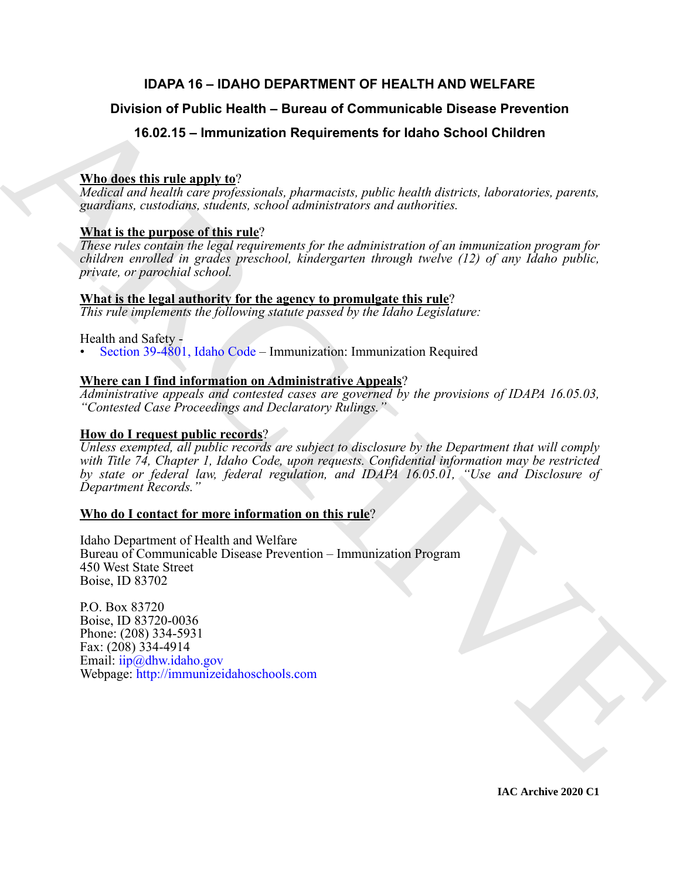# **IDAPA 16 – IDAHO DEPARTMENT OF HEALTH AND WELFARE**

# **Division of Public Health – Bureau of Communicable Disease Prevention**

# **16.02.15 – Immunization Requirements for Idaho School Children**

# **Who does this rule apply to**?

*Medical and health care professionals, pharmacists, public health districts, laboratories, parents, guardians, custodians, students, school administrators and authorities.*

# **What is the purpose of this rule**?

*These rules contain the legal requirements for the administration of an immunization program for children enrolled in grades preschool, kindergarten through twelve (12) of any Idaho public, private, or parochial school.*

# **What is the legal authority for the agency to promulgate this rule**?

*This rule implements the following statute passed by the Idaho Legislature:*

# Health and Safety -

• Section 39-4801, Idaho Code – Immunization: Immunization Required

# **Where can I find information on Administrative Appeals**?

*Administrative appeals and contested cases are governed by the provisions of IDAPA 16.05.03, "Contested Case Proceedings and Declaratory Rulings."*

# **How do I request public records**?

Division of Public Health – Bureau of Communicable Disease Prevention<br>
16.02.15 – Immunization Requirements for Idaho School Children<br>
Whates this results are alway to<br>
Victoria and health and propositions the proposition *Unless exempted, all public records are subject to disclosure by the Department that will comply with Title 74, Chapter 1, Idaho Code, upon requests. Confidential information may be restricted by state or federal law, federal regulation, and IDAPA 16.05.01, "Use and Disclosure of Department Records."*

# **Who do I contact for more information on this rule**?

Idaho Department of Health and Welfare Bureau of Communicable Disease Prevention – Immunization Program 450 West State Street Boise, ID 83702

P.O. Box 83720 Boise, ID 83720-0036 Phone: (208) 334-5931 Fax: (208) 334-4914 Email: iip@dhw.idaho.gov Webpage: http://immunizeidahoschools.com

**IAC Archive 2020 C1**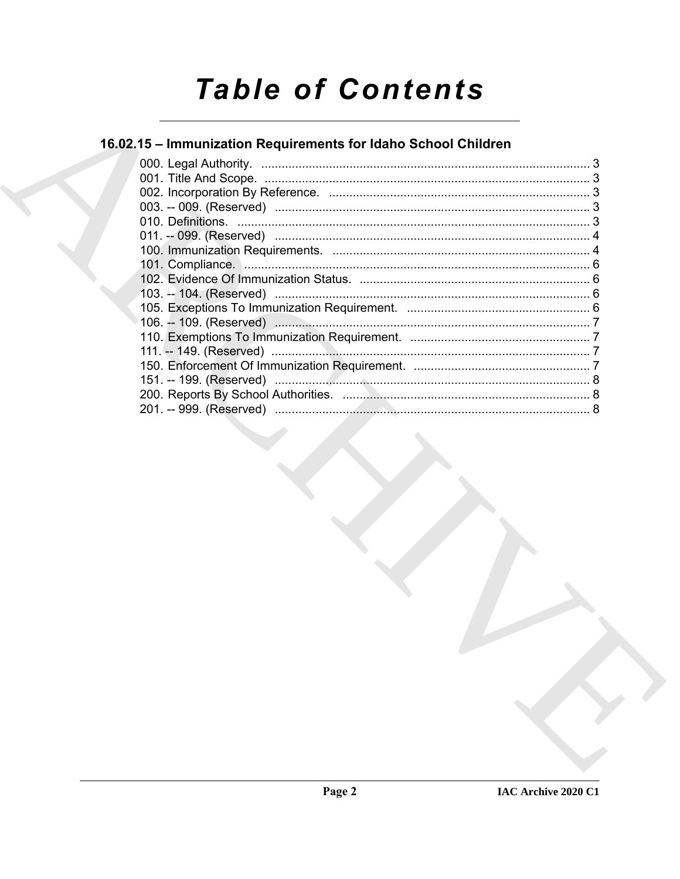# **Table of Contents**

# 16.02.15 - Immunization Requirements for Idaho School Children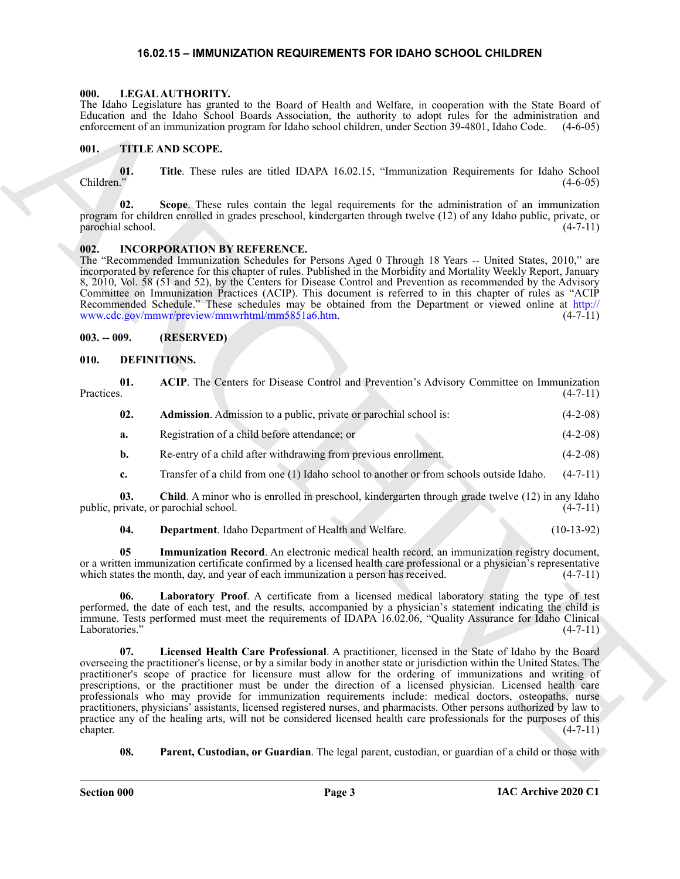### <span id="page-2-16"></span>**16.02.15 – IMMUNIZATION REQUIREMENTS FOR IDAHO SCHOOL CHILDREN**

#### <span id="page-2-1"></span><span id="page-2-0"></span>**000. LEGAL AUTHORITY.**

### <span id="page-2-17"></span><span id="page-2-2"></span>**001. TITLE AND SCOPE.**

### <span id="page-2-15"></span><span id="page-2-3"></span>**002. INCORPORATION BY REFERENCE.**

### <span id="page-2-4"></span>**003. -- 009. (RESERVED)**

### <span id="page-2-14"></span><span id="page-2-13"></span><span id="page-2-12"></span><span id="page-2-11"></span><span id="page-2-10"></span><span id="page-2-9"></span><span id="page-2-8"></span><span id="page-2-7"></span><span id="page-2-6"></span><span id="page-2-5"></span>**010. DEFINITIONS.**

|                   |                | The Idaho Legislature has granted to the Board of Health and Welfare, in cooperation with the State Board of<br>Education and the Idaho School Boards Association, the authority to adopt rules for the administration and<br>enforcement of an immunization program for Idaho school children, under Section 39-4801, Idaho Code.                                                                                                                                                                                                                                                                                                                                                                                                                                                                                      | $(4-6-05)$     |
|-------------------|----------------|-------------------------------------------------------------------------------------------------------------------------------------------------------------------------------------------------------------------------------------------------------------------------------------------------------------------------------------------------------------------------------------------------------------------------------------------------------------------------------------------------------------------------------------------------------------------------------------------------------------------------------------------------------------------------------------------------------------------------------------------------------------------------------------------------------------------------|----------------|
| 001.              |                | TITLE AND SCOPE.                                                                                                                                                                                                                                                                                                                                                                                                                                                                                                                                                                                                                                                                                                                                                                                                        |                |
| Children."        | 01.            | Title. These rules are titled IDAPA 16.02.15, "Immunization Requirements for Idaho School                                                                                                                                                                                                                                                                                                                                                                                                                                                                                                                                                                                                                                                                                                                               | $(4-6-05)$     |
| parochial school. | 02.            | Scope. These rules contain the legal requirements for the administration of an immunization<br>program for children enrolled in grades preschool, kindergarten through twelve (12) of any Idaho public, private, or                                                                                                                                                                                                                                                                                                                                                                                                                                                                                                                                                                                                     | $(4 - 7 - 11)$ |
| 002.              |                | <b>INCORPORATION BY REFERENCE.</b><br>The "Recommended Immunization Schedules for Persons Aged 0 Through 18 Years -- United States, 2010," are<br>incorporated by reference for this chapter of rules. Published in the Morbidity and Mortality Weekly Report, January<br>8, 2010, Vol. 58 (51 and 52), by the Centers for Disease Control and Prevention as recommended by the Advisory<br>Committee on Immunization Practices (ACIP). This document is referred to in this chapter of rules as "ACIP<br>Recommended Schedule." These schedules may be obtained from the Department or viewed online at http://<br>www.cdc.gov/mmwr/preview/mmwrhtml/mm5851a6.htm.                                                                                                                                                     | $(4-7-11)$     |
| $003. - 009.$     |                | (RESERVED)                                                                                                                                                                                                                                                                                                                                                                                                                                                                                                                                                                                                                                                                                                                                                                                                              |                |
| 010.              |                | DEFINITIONS.                                                                                                                                                                                                                                                                                                                                                                                                                                                                                                                                                                                                                                                                                                                                                                                                            |                |
| Practices.        | 01.            | ACIP. The Centers for Disease Control and Prevention's Advisory Committee on Immunization                                                                                                                                                                                                                                                                                                                                                                                                                                                                                                                                                                                                                                                                                                                               | $(4-7-11)$     |
|                   | 02.            | Admission. Admission to a public, private or parochial school is:                                                                                                                                                                                                                                                                                                                                                                                                                                                                                                                                                                                                                                                                                                                                                       | $(4-2-08)$     |
|                   | a.             | Registration of a child before attendance; or                                                                                                                                                                                                                                                                                                                                                                                                                                                                                                                                                                                                                                                                                                                                                                           | $(4-2-08)$     |
|                   | $\mathbf{b}$ . | Re-entry of a child after withdrawing from previous enrollment.                                                                                                                                                                                                                                                                                                                                                                                                                                                                                                                                                                                                                                                                                                                                                         | $(4-2-08)$     |
|                   | c.             | Transfer of a child from one (1) Idaho school to another or from schools outside Idaho.                                                                                                                                                                                                                                                                                                                                                                                                                                                                                                                                                                                                                                                                                                                                 | $(4-7-11)$     |
|                   | 03.            | Child. A minor who is enrolled in preschool, kindergarten through grade twelve (12) in any Idaho<br>public, private, or parochial school.                                                                                                                                                                                                                                                                                                                                                                                                                                                                                                                                                                                                                                                                               | $(4-7-11)$     |
|                   | 04.            | Department. Idaho Department of Health and Welfare.                                                                                                                                                                                                                                                                                                                                                                                                                                                                                                                                                                                                                                                                                                                                                                     | $(10-13-92)$   |
|                   | 05             | Immunization Record. An electronic medical health record, an immunization registry document,<br>or a written immunization certificate confirmed by a licensed health care professional or a physician's representative<br>which states the month, day, and year of each immunization a person has received.                                                                                                                                                                                                                                                                                                                                                                                                                                                                                                             | $(4-7-11)$     |
| Laboratories."    |                | 06. Laboratory Proof. A certificate from a licensed medical laboratory stating the type of test<br>performed, the date of each test, and the results, accompanied by a physician's statement indicating the child is<br>immune. Tests performed must meet the requirements of IDAPA 16.02.06, "Quality Assurance for Idaho Clinical                                                                                                                                                                                                                                                                                                                                                                                                                                                                                     | $(4-7-11)$     |
| chapter.          | 07.            | Licensed Health Care Professional. A practitioner, licensed in the State of Idaho by the Board<br>overseeing the practitioner's license, or by a similar body in another state or jurisdiction within the United States. The<br>practitioner's scope of practice for licensure must allow for the ordering of immunizations and writing of<br>prescriptions, or the practitioner must be under the direction of a licensed physician. Licensed health care<br>professionals who may provide for immunization requirements include: medical doctors, osteopaths, nurse<br>practitioners, physicians' assistants, licensed registered nurses, and pharmacists. Other persons authorized by law to<br>practice any of the healing arts, will not be considered licensed health care professionals for the purposes of this | $(4-7-11)$     |
|                   | 08.            | Parent, Custodian, or Guardian. The legal parent, custodian, or guardian of a child or those with                                                                                                                                                                                                                                                                                                                                                                                                                                                                                                                                                                                                                                                                                                                       |                |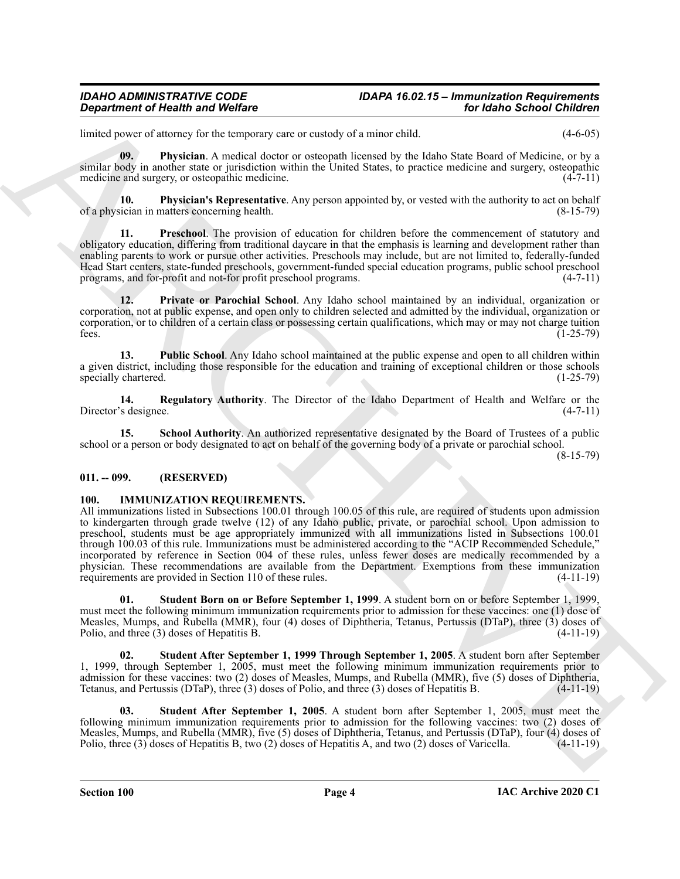# *IDAHO ADMINISTRATIVE CODE IDAPA 16.02.15 – Immunization Requirements*

limited power of attorney for the temporary care or custody of a minor child. (4-6-05)

<span id="page-3-2"></span>**09. Physician**. A medical doctor or osteopath licensed by the Idaho State Board of Medicine, or by a similar body in another state or jurisdiction within the United States, to practice medicine and surgery, osteopathic medicine and surgery, or osteopathic medicine. (4-7-11)

<span id="page-3-3"></span>**10. Physician's Representative**. Any person appointed by, or vested with the authority to act on behalf ician in matters concerning health. of a physician in matters concerning health.

<span id="page-3-4"></span>**11. Preschool**. The provision of education for children before the commencement of statutory and obligatory education, differing from traditional daycare in that the emphasis is learning and development rather than enabling parents to work or pursue other activities. Preschools may include, but are not limited to, federally-funded Head Start centers, state-funded preschools, government-funded special education programs, public school preschool programs, and for-profit and not-for profit preschool programs. (4-7-11)

<span id="page-3-5"></span>**12. Private or Parochial School**. Any Idaho school maintained by an individual, organization or corporation, not at public expense, and open only to children selected and admitted by the individual, organization or corporation, or to children of a certain class or possessing certain qualifications, which may or may not charge tuition fees.  $(1-25-79)$ 

<span id="page-3-6"></span>**13. Public School**. Any Idaho school maintained at the public expense and open to all children within a given district, including those responsible for the education and training of exceptional children or those schools specially chartered. (1-25-79) specially chartered.

<span id="page-3-7"></span>**14. Regulatory Authority**. The Director of the Idaho Department of Health and Welfare or the Director's designee.

<span id="page-3-8"></span>**15. School Authority**. An authorized representative designated by the Board of Trustees of a public school or a person or body designated to act on behalf of the governing body of a private or parochial school.

(8-15-79)

### <span id="page-3-0"></span>**011. -- 099. (RESERVED)**

### <span id="page-3-9"></span><span id="page-3-1"></span>**100. IMMUNIZATION REQUIREMENTS.**

**Equivalent of Newthern School Continues and Vertical Continues and the Continues and the Continues and the Continues and the Continues and the Continues and the Continues and the Continues and the Continues and the Conti** All immunizations listed in Subsections 100.01 through 100.05 of this rule, are required of students upon admission to kindergarten through grade twelve (12) of any Idaho public, private, or parochial school. Upon admission to preschool, students must be age appropriately immunized with all immunizations listed in Subsections 100.01 through 100.03 of this rule. Immunizations must be administered according to the "ACIP Recommended Schedule," incorporated by reference in Section 004 of these rules, unless fewer doses are medically recommended by a physician. These recommendations are available from the Department. Exemptions from these immunization requirements are provided in Section 110 of these rules. (4-11-19)

<span id="page-3-10"></span>**01. Student Born on or Before September 1, 1999**. A student born on or before September 1, 1999, must meet the following minimum immunization requirements prior to admission for these vaccines: one (1) dose of Measles, Mumps, and Rubella (MMR), four (4) doses of Diphtheria, Tetanus, Pertussis (DTaP), three (3) doses of Polio, and three (3) doses of Hepatitis B. Polio, and three  $(3)$  doses of Hepatitis B.

**02. Student After September 1, 1999 Through September 1, 2005**. A student born after September 1, 1999, through September 1, 2005, must meet the following minimum immunization requirements prior to admission for these vaccines: two (2) doses of Measles, Mumps, and Rubella (MMR), five (5) doses of Diphtheria, Tetanus, and Pertussis (DTaP), three (3) doses of Polio, and three (3) doses of Hepatitis B. (4-11-19)

**03. Student After September 1, 2005**. A student born after September 1, 2005, must meet the following minimum immunization requirements prior to admission for the following vaccines: two (2) doses of Measles, Mumps, and Rubella (MMR), five (5) doses of Diphtheria, Tetanus, and Pertussis (DTaP), four (4) doses of Polio, three (3) doses of Hepatitis B, two (2) doses of Hepatitis A, and two (2) doses of Varicella. (4-11-1 Polio, three  $(3)$  doses of Hepatitis B, two  $(2)$  doses of Hepatitis A, and two  $(2)$  doses of Varicella.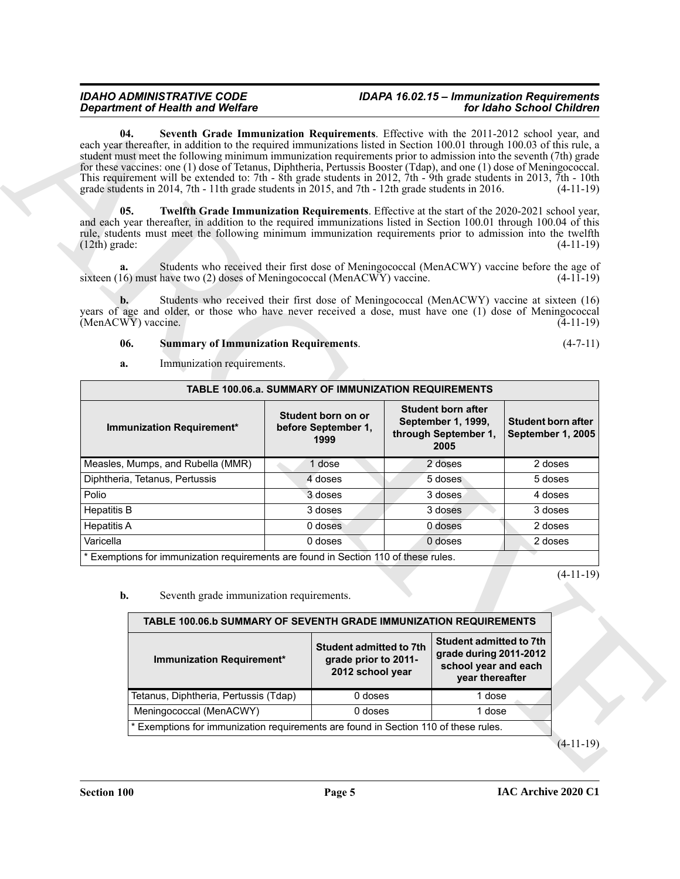# <span id="page-4-2"></span><span id="page-4-1"></span><span id="page-4-0"></span>*IDAHO ADMINISTRATIVE CODE IDAPA 16.02.15 – Immunization Requirements*

| <b>Department of Health and Welfare</b><br>04.<br>Seventh Grade Immunization Requirements. Effective with the 2011-2012 school year, and<br>each year thereafter, in addition to the required immunizations listed in Section 100.01 through 100.03 of this rule, a                                                                                                                                                                                                     |                                                   |                                                                            |                                                                                 |                                                                                                     | for Idaho School Children                      |             |
|-------------------------------------------------------------------------------------------------------------------------------------------------------------------------------------------------------------------------------------------------------------------------------------------------------------------------------------------------------------------------------------------------------------------------------------------------------------------------|---------------------------------------------------|----------------------------------------------------------------------------|---------------------------------------------------------------------------------|-----------------------------------------------------------------------------------------------------|------------------------------------------------|-------------|
| student must meet the following minimum immunization requirements prior to admission into the seventh (7th) grade<br>for these vaccines: one (1) dose of Tetanus, Diphtheria, Pertussis Booster (Tdap), and one (1) dose of Meningococcal.<br>This requirement will be extended to: 7th - 8th grade students in 2012, 7th - 9th grade students in 2013, 7th - 10th<br>grade students in 2014, 7th - 11th grade students in 2015, and 7th - 12th grade students in 2016. |                                                   |                                                                            |                                                                                 |                                                                                                     |                                                | $(4-11-19)$ |
| 05.<br>Twelfth Grade Immunization Requirements. Effective at the start of the 2020-2021 school year,<br>and each year thereafter, in addition to the required immunizations listed in Section 100.01 through 100.04 of this<br>rule, students must meet the following minimum immunization requirements prior to admission into the twelfth<br>$(12th)$ grade:                                                                                                          |                                                   |                                                                            |                                                                                 |                                                                                                     |                                                | $(4-11-19)$ |
| Students who received their first dose of Meningococcal (MenACWY) vaccine before the age of<br>a.<br>sixteen $(16)$ must have two $(2)$ doses of Meningococcal (MenACWY) vaccine.                                                                                                                                                                                                                                                                                       |                                                   |                                                                            |                                                                                 |                                                                                                     |                                                | $(4-11-19)$ |
| Students who received their first dose of Meningococcal (MenACWY) vaccine at sixteen (16)<br>b.<br>years of age and older, or those who have never received a dose, must have one (1) dose of Meningococcal<br>(MenACWY) vaccine.                                                                                                                                                                                                                                       |                                                   |                                                                            |                                                                                 |                                                                                                     |                                                | $(4-11-19)$ |
| 06.<br><b>Summary of Immunization Requirements.</b><br>Immunization requirements.<br>a.                                                                                                                                                                                                                                                                                                                                                                                 |                                                   |                                                                            |                                                                                 |                                                                                                     |                                                | $(4-7-11)$  |
| TABLE 100.06.a. SUMMARY OF IMMUNIZATION REQUIREMENTS                                                                                                                                                                                                                                                                                                                                                                                                                    |                                                   |                                                                            |                                                                                 |                                                                                                     |                                                |             |
| Immunization Requirement*                                                                                                                                                                                                                                                                                                                                                                                                                                               | Student born on or<br>before September 1,<br>1999 |                                                                            | <b>Student born after</b><br>September 1, 1999,<br>through September 1,<br>2005 |                                                                                                     | <b>Student born after</b><br>September 1, 2005 |             |
| Measles, Mumps, and Rubella (MMR)                                                                                                                                                                                                                                                                                                                                                                                                                                       |                                                   | 1 dose                                                                     |                                                                                 | $\overline{2}$ doses                                                                                | 2 doses                                        |             |
| Diphtheria, Tetanus, Pertussis                                                                                                                                                                                                                                                                                                                                                                                                                                          |                                                   | 4 doses                                                                    |                                                                                 | 5 doses                                                                                             | 5 doses                                        |             |
| Polio                                                                                                                                                                                                                                                                                                                                                                                                                                                                   |                                                   | 3 doses                                                                    |                                                                                 | 3 doses                                                                                             | 4 doses                                        |             |
| <b>Hepatitis B</b>                                                                                                                                                                                                                                                                                                                                                                                                                                                      |                                                   | 3 doses                                                                    |                                                                                 | 3 doses                                                                                             | 3 doses                                        |             |
| <b>Hepatitis A</b>                                                                                                                                                                                                                                                                                                                                                                                                                                                      |                                                   | 0 doses                                                                    |                                                                                 | 0 doses                                                                                             | 2 doses                                        |             |
| Varicella                                                                                                                                                                                                                                                                                                                                                                                                                                                               |                                                   | 0 doses                                                                    |                                                                                 | 0 doses                                                                                             | 2 doses                                        |             |
| * Exemptions for immunization requirements are found in Section 110 of these rules.                                                                                                                                                                                                                                                                                                                                                                                     |                                                   |                                                                            |                                                                                 |                                                                                                     |                                                |             |
| Seventh grade immunization requirements.<br>b.                                                                                                                                                                                                                                                                                                                                                                                                                          |                                                   |                                                                            |                                                                                 |                                                                                                     |                                                | $(4-11-19)$ |
| TABLE 100.06.b SUMMARY OF SEVENTH GRADE IMMUNIZATION REQUIREMENTS                                                                                                                                                                                                                                                                                                                                                                                                       |                                                   |                                                                            |                                                                                 |                                                                                                     |                                                |             |
| Immunization Requirement*                                                                                                                                                                                                                                                                                                                                                                                                                                               |                                                   | <b>Student admitted to 7th</b><br>grade prior to 2011-<br>2012 school year |                                                                                 | <b>Student admitted to 7th</b><br>grade during 2011-2012<br>school year and each<br>year thereafter |                                                |             |
| Tetanus, Diphtheria, Pertussis (Tdap)                                                                                                                                                                                                                                                                                                                                                                                                                                   |                                                   | 0 doses                                                                    |                                                                                 | 1 dose                                                                                              |                                                |             |
| Meningococcal (MenACWY)                                                                                                                                                                                                                                                                                                                                                                                                                                                 |                                                   | 0 doses                                                                    |                                                                                 | 1 dose                                                                                              |                                                |             |
| * Exemptions for immunization requirements are found in Section 110 of these rules.                                                                                                                                                                                                                                                                                                                                                                                     |                                                   |                                                                            |                                                                                 |                                                                                                     |                                                |             |
|                                                                                                                                                                                                                                                                                                                                                                                                                                                                         |                                                   |                                                                            |                                                                                 |                                                                                                     |                                                | $(4-11-19)$ |

| TABLE 100.06.b SUMMARY OF SEVENTH GRADE IMMUNIZATION REQUIREMENTS                   |                                                                            |                                                                                                     |  |  |  |  |  |
|-------------------------------------------------------------------------------------|----------------------------------------------------------------------------|-----------------------------------------------------------------------------------------------------|--|--|--|--|--|
| Immunization Requirement*                                                           | <b>Student admitted to 7th</b><br>grade prior to 2011-<br>2012 school year | <b>Student admitted to 7th</b><br>grade during 2011-2012<br>school year and each<br>year thereafter |  |  |  |  |  |
| Tetanus, Diphtheria, Pertussis (Tdap)                                               | $0$ doses                                                                  | 1 dose                                                                                              |  |  |  |  |  |
| Meningococcal (MenACWY)                                                             | $0$ doses                                                                  | 1 dose                                                                                              |  |  |  |  |  |
| * Exemptions for immunization requirements are found in Section 110 of these rules. |                                                                            |                                                                                                     |  |  |  |  |  |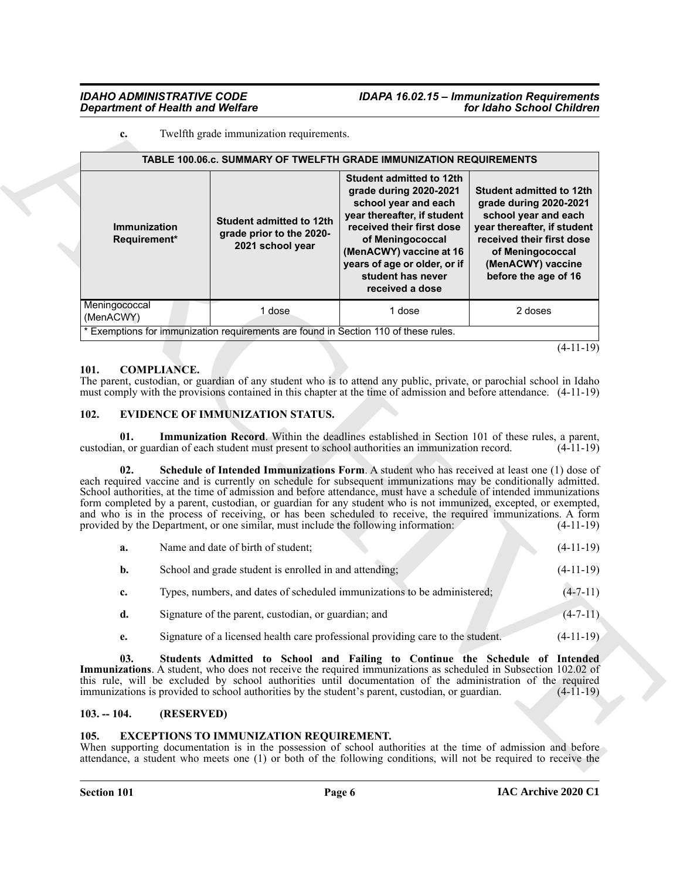# *IDAHO ADMINISTRATIVE CODE IDAPA 16.02.15 – Immunization Requirements*

#### **c.** Twelfth grade immunization requirements.

|                                                 |  |                                                                                               | TABLE 100.06.c. SUMMARY OF TWELFTH GRADE IMMUNIZATION REQUIREMENTS                                                                                                                                                                                                                                                                                                                                                                                                                                                                                                      |                                                                                                                                                                                                                |  |  |  |  |  |
|-------------------------------------------------|--|-----------------------------------------------------------------------------------------------|-------------------------------------------------------------------------------------------------------------------------------------------------------------------------------------------------------------------------------------------------------------------------------------------------------------------------------------------------------------------------------------------------------------------------------------------------------------------------------------------------------------------------------------------------------------------------|----------------------------------------------------------------------------------------------------------------------------------------------------------------------------------------------------------------|--|--|--|--|--|
| Immunization<br>Requirement*                    |  | Student admitted to 12th<br>grade prior to the 2020-<br>2021 school year                      | <b>Student admitted to 12th</b><br>grade during 2020-2021<br>school year and each<br>year thereafter, if student<br>received their first dose<br>of Meningococcal<br>(MenACWY) vaccine at 16<br>years of age or older, or if<br>student has never<br>received a dose                                                                                                                                                                                                                                                                                                    | <b>Student admitted to 12th</b><br>grade during 2020-2021<br>school year and each<br>year thereafter, if student<br>received their first dose<br>of Meningococcal<br>(MenACWY) vaccine<br>before the age of 16 |  |  |  |  |  |
| Meningococcal<br>(MenACWY)                      |  | 1 dose<br>* Exemptions for immunization requirements are found in Section 110 of these rules. | 1 dose                                                                                                                                                                                                                                                                                                                                                                                                                                                                                                                                                                  | 2 doses                                                                                                                                                                                                        |  |  |  |  |  |
|                                                 |  |                                                                                               |                                                                                                                                                                                                                                                                                                                                                                                                                                                                                                                                                                         | $(4-11-19)$                                                                                                                                                                                                    |  |  |  |  |  |
|                                                 |  |                                                                                               |                                                                                                                                                                                                                                                                                                                                                                                                                                                                                                                                                                         |                                                                                                                                                                                                                |  |  |  |  |  |
| <b>COMPLIANCE.</b><br>101.                      |  |                                                                                               | The parent, custodian, or guardian of any student who is to attend any public, private, or parochial school in Idaho<br>must comply with the provisions contained in this chapter at the time of admission and before attendance. (4-11-19)                                                                                                                                                                                                                                                                                                                             |                                                                                                                                                                                                                |  |  |  |  |  |
| 102.<br><b>EVIDENCE OF IMMUNIZATION STATUS.</b> |  |                                                                                               |                                                                                                                                                                                                                                                                                                                                                                                                                                                                                                                                                                         |                                                                                                                                                                                                                |  |  |  |  |  |
|                                                 |  |                                                                                               |                                                                                                                                                                                                                                                                                                                                                                                                                                                                                                                                                                         |                                                                                                                                                                                                                |  |  |  |  |  |
| 01.                                             |  |                                                                                               | <b>Immunization Record.</b> Within the deadlines established in Section 101 of these rules, a parent,<br>custodian, or guardian of each student must present to school authorities an immunization record.                                                                                                                                                                                                                                                                                                                                                              | $(4-11-19)$                                                                                                                                                                                                    |  |  |  |  |  |
| 02.                                             |  | provided by the Department, or one similar, must include the following information:           | Schedule of Intended Immunizations Form. A student who has received at least one (1) dose of<br>each required vaccine and is currently on schedule for subsequent immunizations may be conditionally admitted.<br>School authorities, at the time of admission and before attendance, must have a schedule of intended immunizations<br>form completed by a parent, custodian, or guardian for any student who is not immunized, excepted, or exempted,<br>and who is in the process of receiving, or has been scheduled to receive, the required immunizations. A form | $(4-11-19)$                                                                                                                                                                                                    |  |  |  |  |  |
| a.                                              |  | Name and date of birth of student;                                                            |                                                                                                                                                                                                                                                                                                                                                                                                                                                                                                                                                                         | $(4-11-19)$                                                                                                                                                                                                    |  |  |  |  |  |
| b.                                              |  | School and grade student is enrolled in and attending;                                        |                                                                                                                                                                                                                                                                                                                                                                                                                                                                                                                                                                         | $(4-11-19)$                                                                                                                                                                                                    |  |  |  |  |  |
| c.                                              |  |                                                                                               | Types, numbers, and dates of scheduled immunizations to be administered;                                                                                                                                                                                                                                                                                                                                                                                                                                                                                                | $(4 - 7 - 11)$                                                                                                                                                                                                 |  |  |  |  |  |
| d.                                              |  | Signature of the parent, custodian, or guardian; and                                          |                                                                                                                                                                                                                                                                                                                                                                                                                                                                                                                                                                         | $(4 - 7 - 11)$                                                                                                                                                                                                 |  |  |  |  |  |
| e.                                              |  |                                                                                               | Signature of a licensed health care professional providing care to the student.                                                                                                                                                                                                                                                                                                                                                                                                                                                                                         | $(4-11-19)$                                                                                                                                                                                                    |  |  |  |  |  |
| 03.                                             |  |                                                                                               | Students Admitted to School and Failing to Continue the Schedule of Intended<br>Immunizations. A student, who does not receive the required immunizations as scheduled in Subsection 102.02 of<br>this rule, will be excluded by school authorities until documentation of the administration of the required<br>immunizations is provided to school authorities by the student's parent, custodian, or guardian.                                                                                                                                                       | $(4-11-19)$                                                                                                                                                                                                    |  |  |  |  |  |

### <span id="page-5-4"></span><span id="page-5-0"></span>**101. COMPLIANCE.**

### <span id="page-5-7"></span><span id="page-5-6"></span><span id="page-5-5"></span><span id="page-5-1"></span>**102. EVIDENCE OF IMMUNIZATION STATUS.**

| а.          | Name and date of birth of student;                                       | $(4-11-19)$ |
|-------------|--------------------------------------------------------------------------|-------------|
| b.          | School and grade student is enrolled in and attending;                   | $(4-11-19)$ |
| $c_{\star}$ | Types, numbers, and dates of scheduled immunizations to be administered; | $(4-7-11)$  |

- **d.** Signature of the parent, custodian, or guardian; and  $(4-7-11)$
- <span id="page-5-8"></span>**e.** Signature of a licensed health care professional providing care to the student. (4-11-19)

### <span id="page-5-2"></span>**103. -- 104. (RESERVED)**

### <span id="page-5-9"></span><span id="page-5-3"></span>**105. EXCEPTIONS TO IMMUNIZATION REQUIREMENT.**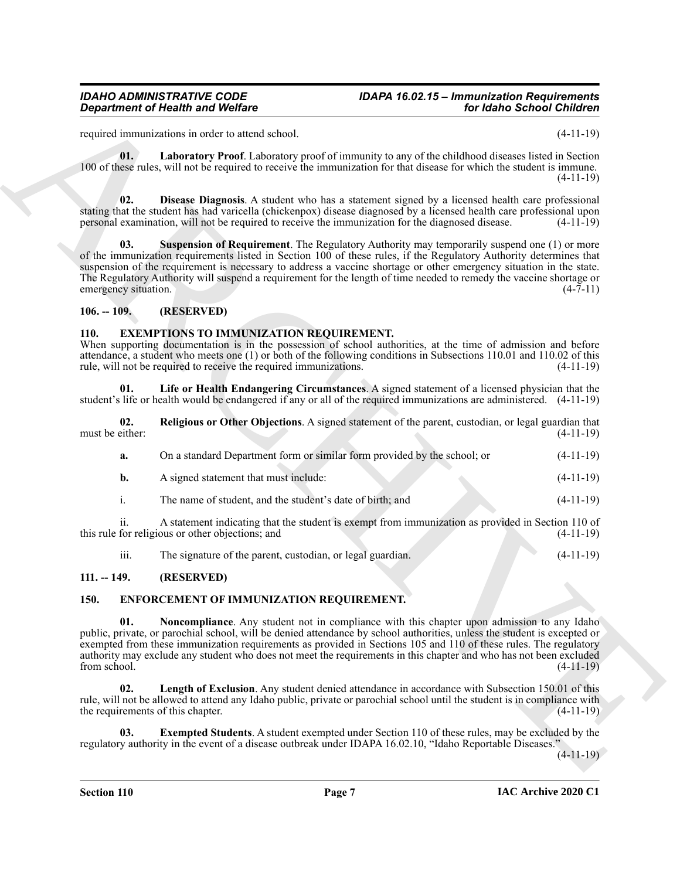# *IDAHO ADMINISTRATIVE CODE IDAPA 16.02.15 – Immunization Requirements*

required immunizations in order to attend school. (4-11-19)

<span id="page-6-9"></span>**01. Laboratory Proof**. Laboratory proof of immunity to any of the childhood diseases listed in Section 100 of these rules, will not be required to receive the immunization for that disease for which the student is immune. (4-11-19)

<span id="page-6-8"></span>**02. Disease Diagnosis**. A student who has a statement signed by a licensed health care professional stating that the student has had varicella (chickenpox) disease diagnosed by a licensed health care professional upon personal examination, will not be required to receive the immunization for the diagnosed disease. (4-11-19)

<span id="page-6-10"></span>**03. Suspension of Requirement**. The Regulatory Authority may temporarily suspend one (1) or more of the immunization requirements listed in Section 100 of these rules, if the Regulatory Authority determines that suspension of the requirement is necessary to address a vaccine shortage or other emergency situation in the state. The Regulatory Authority will suspend a requirement for the length of time needed to remedy the vaccine shortage or emergency situation. (4-7-11)

### <span id="page-6-0"></span>**106. -- 109. (RESERVED)**

### <span id="page-6-11"></span><span id="page-6-1"></span>**110. EXEMPTIONS TO IMMUNIZATION REQUIREMENT.**

When supporting documentation is in the possession of school authorities, at the time of admission and before attendance, a student who meets one (1) or both of the following conditions in Subsections 110.01 and 110.02 of this rule, will not be required to receive the required immunizations.

<span id="page-6-12"></span>**01. Life or Health Endangering Circumstances**. A signed statement of a licensed physician that the student's life or health would be endangered if any or all of the required immunizations are administered. (4-11-19)

**02. Religious or Other Objections**. A signed statement of the parent, custodian, or legal guardian that must be either:

<span id="page-6-13"></span>

| а. | On a standard Department form or similar form provided by the school; or | $(4-11-19)$ |
|----|--------------------------------------------------------------------------|-------------|
| b. | A signed statement that must include:                                    | $(4-11-19)$ |
|    | The name of student, and the student's date of birth; and                | $(4-11-19)$ |

ii. A statement indicating that the student is exempt from immunization as provided in Section 110 of this rule for religious or other objections; and (4-11-19)

<span id="page-6-7"></span><span id="page-6-4"></span>iii. The signature of the parent, custodian, or legal guardian. (4-11-19)

# <span id="page-6-2"></span>**111. -- 149. (RESERVED)**

### <span id="page-6-3"></span>**150. ENFORCEMENT OF IMMUNIZATION REQUIREMENT.**

**Equivalent of Newthern Section 2.** The Finder Section 2. The Finder Section 2. The Control of the Control of Latington 2. The Control of Latington 2. The Control of Latington 2. The Control of Latington 2. The Control of **01. Noncompliance**. Any student not in compliance with this chapter upon admission to any Idaho public, private, or parochial school, will be denied attendance by school authorities, unless the student is excepted or exempted from these immunization requirements as provided in Sections 105 and 110 of these rules. The regulatory authority may exclude any student who does not meet the requirements in this chapter and who has not been excluded from school. (4-11-19) from school.  $(4-11-19)$ 

<span id="page-6-6"></span>**02. Length of Exclusion**. Any student denied attendance in accordance with Subsection 150.01 of this rule, will not be allowed to attend any Idaho public, private or parochial school until the student is in compliance with the requirements of this chapter. (4-11-19)

<span id="page-6-5"></span>**03. Exempted Students**. A student exempted under Section 110 of these rules, may be excluded by the regulatory authority in the event of a disease outbreak under IDAPA 16.02.10, "Idaho Reportable Diseases."

 $(4-11-19)$ 

**Section 110 Page 7**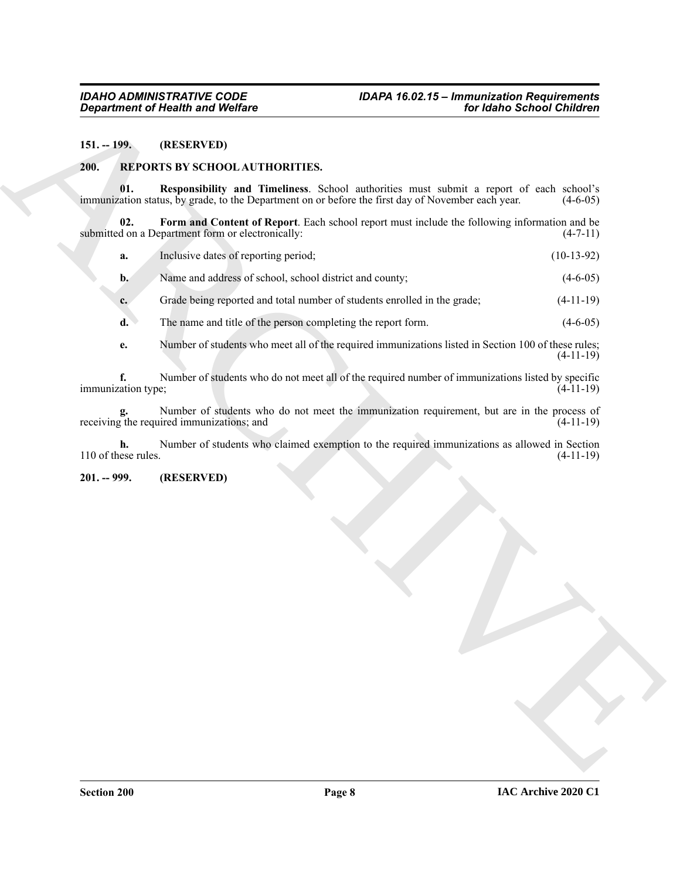#### <span id="page-7-0"></span>**151. -- 199. (RESERVED)**

#### <span id="page-7-5"></span><span id="page-7-3"></span><span id="page-7-1"></span>**200. REPORTS BY SCHOOL AUTHORITIES.**

**01. Responsibility and Timeliness**. School authorities must submit a report of each school's immunization status, by grade, to the Department on or before the first day of November each year.

**02. Form and Content of Report**. Each school report must include the following information and be submitted on a Department form or electronically: (4-7-11)

<span id="page-7-4"></span>**a.** Inclusive dates of reporting period; (10-13-92)

**b.** Name and address of school, school district and county; (4-6-05)

**c.** Grade being reported and total number of students enrolled in the grade;  $(4-11-19)$ 

**d.** The name and title of the person completing the report form.  $(4-6-05)$ 

**e.** Number of students who meet all of the required immunizations listed in Section 100 of these rules; (4-11-19)

**Expansion of New Wedler<br>
14. The CERN (WE) CONTROL CONTROL CONTROL CONTROL CONTROL CONTROL CONTROL CONTROL CONTROL CONTROL CONTROL CONTROL CONTROL CONTROL CONTROL CONTROL CONTROL CONTROL CONTROL CONTROL CONTROL CONTROL C f.** Number of students who do not meet all of the required number of immunizations listed by specific immunization type; (4-11-19)

**g.** Number of students who do not meet the immunization requirement, but are in the process of receiving the required immunizations; and (4-11-19)

**h.** Number of students who claimed exemption to the required immunizations as allowed in Section 110 of these rules. (4-11-19)

#### <span id="page-7-2"></span>**201. -- 999. (RESERVED)**